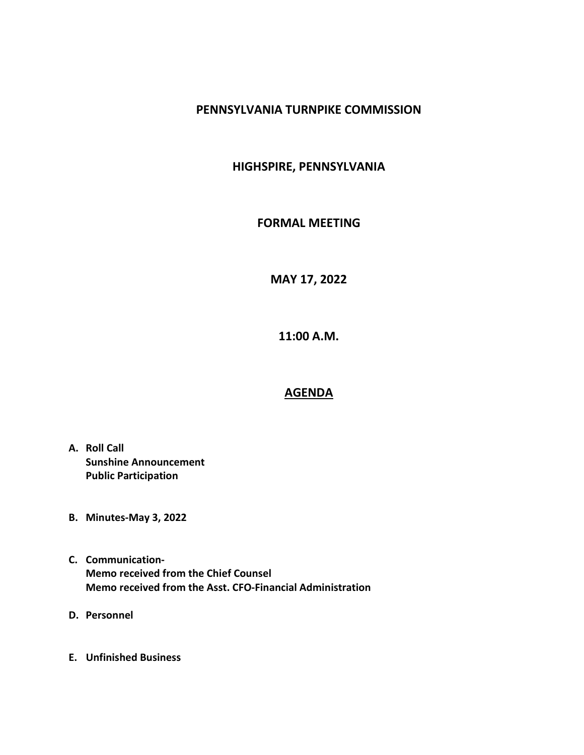#### PENNSYLVANIA TURNPIKE COMMISSION

## HIGHSPIRE, PENNSYLVANIA

### FORMAL MEETING

MAY 17, 2022

11:00 A.M.

# AGENDA

- A. Roll Call Sunshine Announcement Public Participation
- B. Minutes-May 3, 2022
- C. Communication-Memo received from the Chief Counsel Memo received from the Asst. CFO-Financial Administration
- D. Personnel
- E. Unfinished Business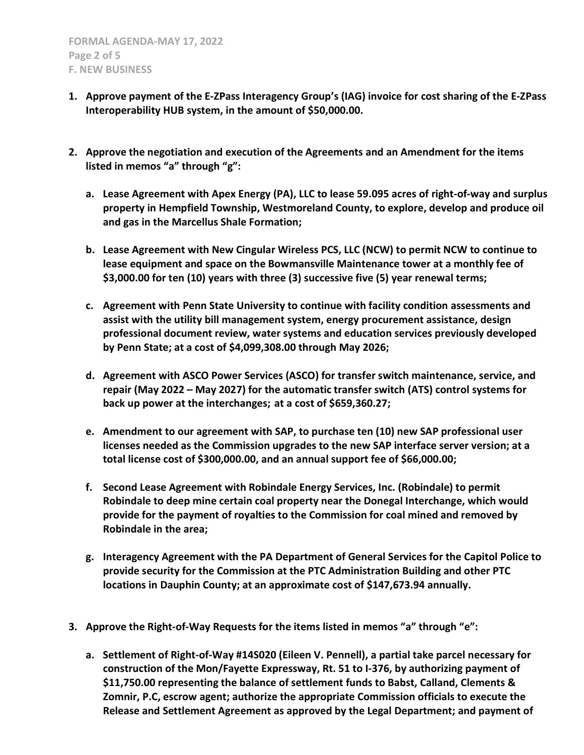- 1. Approve payment of the E-ZPass Interagency Group's (IAG) invoice for cost sharing of the E-ZPass Interoperability HUB system, in the amount of \$50,000.00.
- 2. Approve the negotiation and execution of the Agreements and an Amendment for the items listed in memos "a" through "g":
	- a. Lease Agreement with Apex Energy (PA), LLC to lease 59.095 acres of right-of-way and surplus property in Hempfield Township, Westmoreland County, to explore, develop and produce oil and gas in the Marcellus Shale Formation;
	- b. Lease Agreement with New Cingular Wireless PCS, LLC (NCW) to permit NCW to continue to lease equipment and space on the Bowmansville Maintenance tower at a monthly fee of \$3,000.00 for ten (10) years with three (3) successive five (5) year renewal terms;
	- c. Agreement with Penn State University to continue with facility condition assessments and assist with the utility bill management system, energy procurement assistance, design professional document review, water systems and education services previously developed by Penn State; at a cost of \$4,099,308.00 through May 2026;
	- d. Agreement with ASCO Power Services (ASCO) for transfer switch maintenance, service, and repair (May 2022 – May 2027) for the automatic transfer switch (ATS) control systems for back up power at the interchanges; at a cost of \$659,360.27;
	- e. Amendment to our agreement with SAP, to purchase ten (10) new SAP professional user licenses needed as the Commission upgrades to the new SAP interface server version; at a total license cost of \$300,000.00, and an annual support fee of \$66,000.00;
	- f. Second Lease Agreement with Robindale Energy Services, Inc. (Robindale) to permit Robindale to deep mine certain coal property near the Donegal Interchange, which would provide for the payment of royalties to the Commission for coal mined and removed by Robindale in the area;
	- g. Interagency Agreement with the PA Department of General Services for the Capitol Police to provide security for the Commission at the PTC Administration Building and other PTC locations in Dauphin County; at an approximate cost of \$147,673.94 annually.
- 3. Approve the Right-of-Way Requests for the items listed in memos "a" through "e":
	- a. Settlement of Right-of-Way #14S020 (Eileen V. Pennell), a partial take parcel necessary for construction of the Mon/Fayette Expressway, Rt. 51 to I-376, by authorizing payment of \$11,750.00 representing the balance of settlement funds to Babst, Calland, Clements & Zomnir, P.C, escrow agent; authorize the appropriate Commission officials to execute the Release and Settlement Agreement as approved by the Legal Department; and payment of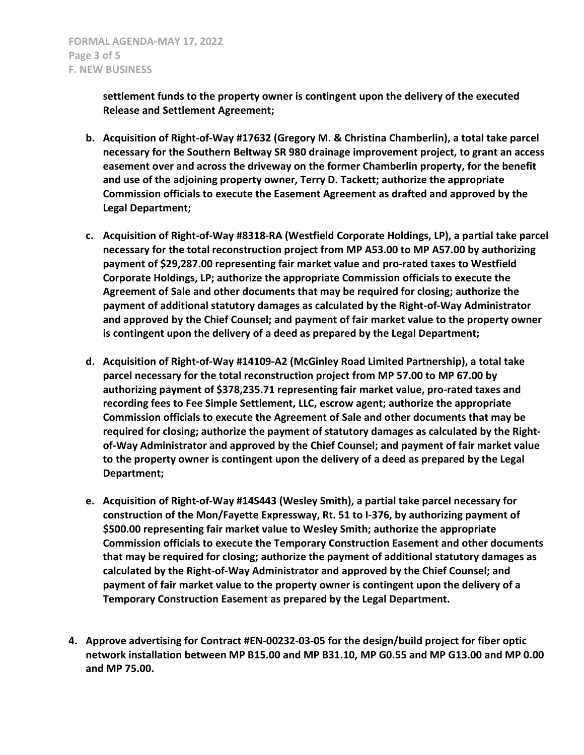settlement funds to the property owner is contingent upon the delivery of the executed Release and Settlement Agreement;

- b. Acquisition of Right-of-Way #17632 (Gregory M. & Christina Chamberlin), a total take parcel necessary for the Southern Beltway SR 980 drainage improvement project, to grant an access easement over and across the driveway on the former Chamberlin property, for the benefit and use of the adjoining property owner, Terry D. Tackett; authorize the appropriate Commission officials to execute the Easement Agreement as drafted and approved by the Legal Department;
- c. Acquisition of Right-of-Way #8318-RA (Westfield Corporate Holdings, LP), a partial take parcel necessary for the total reconstruction project from MP A53.00 to MP A57.00 by authorizing payment of \$29,287.00 representing fair market value and pro-rated taxes to Westfield Corporate Holdings, LP; authorize the appropriate Commission officials to execute the Agreement of Sale and other documents that may be required for closing; authorize the payment of additional statutory damages as calculated by the Right-of-Way Administrator and approved by the Chief Counsel; and payment of fair market value to the property owner is contingent upon the delivery of a deed as prepared by the Legal Department;
- d. Acquisition of Right-of-Way #14109-A2 (McGinley Road Limited Partnership), a total take parcel necessary for the total reconstruction project from MP 57.00 to MP 67.00 by authorizing payment of \$378,235.71 representing fair market value, pro-rated taxes and recording fees to Fee Simple Settlement, LLC, escrow agent; authorize the appropriate Commission officials to execute the Agreement of Sale and other documents that may be required for closing; authorize the payment of statutory damages as calculated by the Rightof-Way Administrator and approved by the Chief Counsel; and payment of fair market value to the property owner is contingent upon the delivery of a deed as prepared by the Legal Department;
- e. Acquisition of Right-of-Way #14S443 (Wesley Smith), a partial take parcel necessary for construction of the Mon/Fayette Expressway, Rt. 51 to I-376, by authorizing payment of \$500.00 representing fair market value to Wesley Smith; authorize the appropriate Commission officials to execute the Temporary Construction Easement and other documents that may be required for closing; authorize the payment of additional statutory damages as calculated by the Right-of-Way Administrator and approved by the Chief Counsel; and payment of fair market value to the property owner is contingent upon the delivery of a Temporary Construction Easement as prepared by the Legal Department.
- 4. Approve advertising for Contract #EN-00232-03-05 for the design/build project for fiber optic network installation between MP B15.00 and MP B31.10, MP G0.55 and MP G13.00 and MP 0.00 and MP 75.00.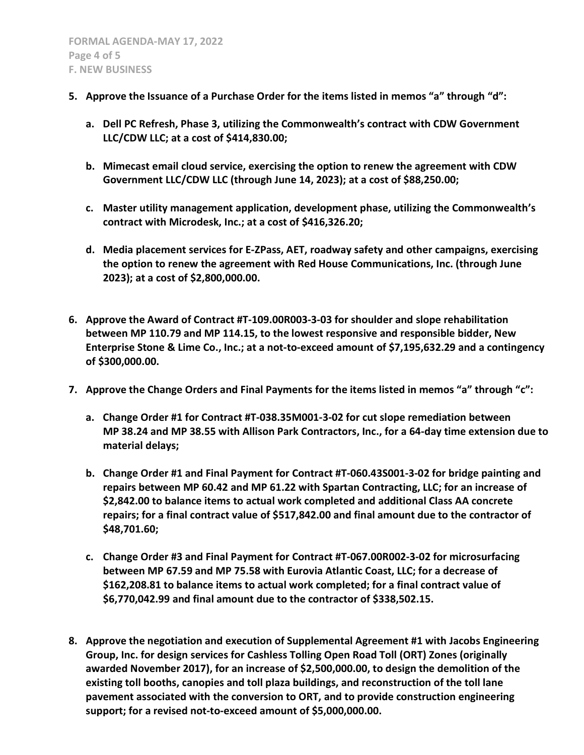- 5. Approve the Issuance of a Purchase Order for the items listed in memos "a" through "d":
	- a. Dell PC Refresh, Phase 3, utilizing the Commonwealth's contract with CDW Government LLC/CDW LLC; at a cost of \$414,830.00;
	- b. Mimecast email cloud service, exercising the option to renew the agreement with CDW Government LLC/CDW LLC (through June 14, 2023); at a cost of \$88,250.00;
	- c. Master utility management application, development phase, utilizing the Commonwealth's contract with Microdesk, Inc.; at a cost of \$416,326.20;
	- d. Media placement services for E-ZPass, AET, roadway safety and other campaigns, exercising the option to renew the agreement with Red House Communications, Inc. (through June 2023); at a cost of \$2,800,000.00.
- 6. Approve the Award of Contract #T-109.00R003-3-03 for shoulder and slope rehabilitation between MP 110.79 and MP 114.15, to the lowest responsive and responsible bidder, New Enterprise Stone & Lime Co., Inc.; at a not-to-exceed amount of \$7,195,632.29 and a contingency of \$300,000.00.
- 7. Approve the Change Orders and Final Payments for the items listed in memos "a" through "c":
	- a. Change Order #1 for Contract #T-038.35M001-3-02 for cut slope remediation between MP 38.24 and MP 38.55 with Allison Park Contractors, Inc., for a 64-day time extension due to material delays;
	- b. Change Order #1 and Final Payment for Contract #T-060.43S001-3-02 for bridge painting and repairs between MP 60.42 and MP 61.22 with Spartan Contracting, LLC; for an increase of \$2,842.00 to balance items to actual work completed and additional Class AA concrete repairs; for a final contract value of \$517,842.00 and final amount due to the contractor of \$48,701.60;
	- c. Change Order #3 and Final Payment for Contract #T-067.00R002-3-02 for microsurfacing between MP 67.59 and MP 75.58 with Eurovia Atlantic Coast, LLC; for a decrease of \$162,208.81 to balance items to actual work completed; for a final contract value of \$6,770,042.99 and final amount due to the contractor of \$338,502.15.
- 8. Approve the negotiation and execution of Supplemental Agreement #1 with Jacobs Engineering Group, Inc. for design services for Cashless Tolling Open Road Toll (ORT) Zones (originally awarded November 2017), for an increase of \$2,500,000.00, to design the demolition of the existing toll booths, canopies and toll plaza buildings, and reconstruction of the toll lane pavement associated with the conversion to ORT, and to provide construction engineering support; for a revised not-to-exceed amount of \$5,000,000.00.